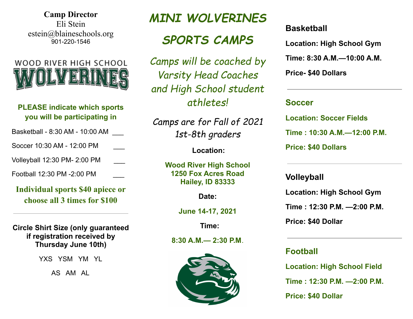**Camp Director** Eli Stein estein@blaineschools.org 901-220-1546



### **PLEASE indicate which sports you will be participating in**

- Basketball 8:30 AM 10:00 AM \_\_\_
- Soccer 10:30 AM 12:00 PM

Volleyball 12:30 PM- 2:00 PM \_\_\_

Football 12:30 PM -2:00 PM

**Individual sports \$40 apiece or choose all 3 times for \$100**

### **Circle Shirt Size (only guaranteed if registration received by Thursday June 10th)**

YXS YSM YM YL

AS AM AL

# *MINI WOLVERINES*

# *SPORTS CAMPS*

*Camps will be coached by Varsity Head Coaches and High School student athletes!*

*Camps are for Fall of 2021 1st-8th graders*

**Location:**

**Wood River High School 1250 Fox Acres Road Hailey, ID 83333**

**Date:**

**June 14-17, 2021**

**Time:**

**8:30 A.M.— 2:30 P.M**.



## **Basketball**

**Location: High School Gym**

**Time: 8:30 A.M.—10:00 A.M.**

**Price- \$40 Dollars**

### **Soccer**

**Location: Soccer Fields Time : 10:30 A.M.—12:00 P.M. Price: \$40 Dollars**

### **Volleyball**

**Location: High School Gym**

**Time : 12:30 P.M. —2:00 P.M.**

**Price: \$40 Dollar**

## **Football**

**Location: High School Field**

**Time : 12:30 P.M. —2:00 P.M.**

**Price: \$40 Dollar**